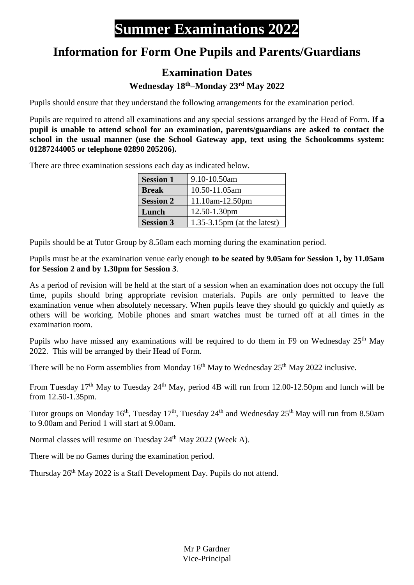## **Summer Examinations 2022**

## **Information for Form One Pupils and Parents/Guardians**

## **Examination Dates**

**Wednesday 18 th–Monday 23rd May 2022**

Pupils should ensure that they understand the following arrangements for the examination period.

Pupils are required to attend all examinations and any special sessions arranged by the Head of Form. **If a pupil is unable to attend school for an examination, parents/guardians are asked to contact the school in the usual manner (use the School Gateway app, text using the Schoolcomms system: 01287244005 or telephone 02890 205206).**

There are three examination sessions each day as indicated below.

| <b>Session 1</b> | 9.10-10.50am                   |
|------------------|--------------------------------|
| <b>Break</b>     | 10.50-11.05am                  |
| <b>Session 2</b> | $11.10am-12.50pm$              |
| Lunch            | 12.50-1.30pm                   |
| <b>Session 3</b> | $1.35-3.15$ pm (at the latest) |

Pupils should be at Tutor Group by 8.50am each morning during the examination period.

Pupils must be at the examination venue early enough **to be seated by 9.05am for Session 1, by 11.05am for Session 2 and by 1.30pm for Session 3**.

As a period of revision will be held at the start of a session when an examination does not occupy the full time, pupils should bring appropriate revision materials. Pupils are only permitted to leave the examination venue when absolutely necessary. When pupils leave they should go quickly and quietly as others will be working. Mobile phones and smart watches must be turned off at all times in the examination room.

Pupils who have missed any examinations will be required to do them in F9 on Wednesday 25<sup>th</sup> May 2022. This will be arranged by their Head of Form.

There will be no Form assemblies from Monday  $16<sup>th</sup>$  May to Wednesday  $25<sup>th</sup>$  May 2022 inclusive.

From Tuesday 17<sup>th</sup> May to Tuesday 24<sup>th</sup> May, period 4B will run from 12.00-12.50pm and lunch will be from 12.50-1.35pm.

Tutor groups on Monday 16<sup>th</sup>, Tuesday 17<sup>th</sup>, Tuesday 24<sup>th</sup> and Wednesday 25<sup>th</sup> May will run from 8.50am to 9.00am and Period 1 will start at 9.00am.

Normal classes will resume on Tuesday 24<sup>th</sup> May 2022 (Week A).

There will be no Games during the examination period.

Thursday 26<sup>th</sup> May 2022 is a Staff Development Day. Pupils do not attend.

Mr P Gardner Vice-Principal